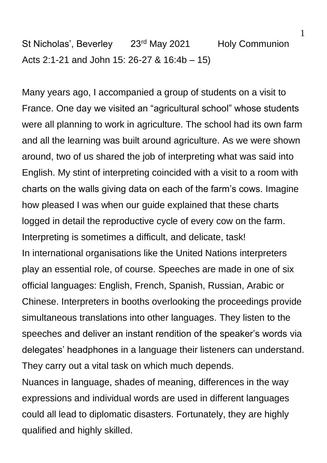St Nicholas', Beverley 23<sup>rd</sup> May 2021 Holy Communion Acts 2:1-21 and John 15: 26-27 & 16:4b – 15)

Many years ago, I accompanied a group of students on a visit to France. One day we visited an "agricultural school" whose students were all planning to work in agriculture. The school had its own farm and all the learning was built around agriculture. As we were shown around, two of us shared the job of interpreting what was said into English. My stint of interpreting coincided with a visit to a room with charts on the walls giving data on each of the farm's cows. Imagine how pleased I was when our guide explained that these charts logged in detail the reproductive cycle of every cow on the farm. Interpreting is sometimes a difficult, and delicate, task! In international organisations like the United Nations interpreters play an essential role, of course. Speeches are made in one of six official languages: English, French, Spanish, Russian, Arabic or Chinese. Interpreters in booths overlooking the proceedings provide simultaneous translations into other languages. They listen to the speeches and deliver an instant rendition of the speaker's words via delegates' headphones in a language their listeners can understand. They carry out a vital task on which much depends.

Nuances in language, shades of meaning, differences in the way expressions and individual words are used in different languages could all lead to diplomatic disasters. Fortunately, they are highly qualified and highly skilled.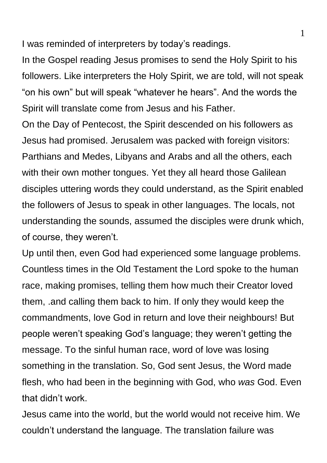I was reminded of interpreters by today's readings.

In the Gospel reading Jesus promises to send the Holy Spirit to his followers. Like interpreters the Holy Spirit, we are told, will not speak "on his own" but will speak "whatever he hears". And the words the Spirit will translate come from Jesus and his Father.

On the Day of Pentecost, the Spirit descended on his followers as Jesus had promised. Jerusalem was packed with foreign visitors: Parthians and Medes, Libyans and Arabs and all the others, each with their own mother tongues. Yet they all heard those Galilean disciples uttering words they could understand, as the Spirit enabled the followers of Jesus to speak in other languages. The locals, not understanding the sounds, assumed the disciples were drunk which, of course, they weren't.

Up until then, even God had experienced some language problems. Countless times in the Old Testament the Lord spoke to the human race, making promises, telling them how much their Creator loved them, .and calling them back to him. If only they would keep the commandments, love God in return and love their neighbours! But people weren't speaking God's language; they weren't getting the message. To the sinful human race, word of love was losing something in the translation. So, God sent Jesus, the Word made flesh, who had been in the beginning with God, who *was* God. Even that didn't work.

Jesus came into the world, but the world would not receive him. We couldn't understand the language. The translation failure was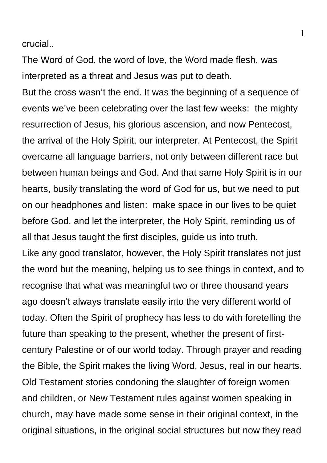crucial..

The Word of God, the word of love, the Word made flesh, was interpreted as a threat and Jesus was put to death.

But the cross wasn't the end. It was the beginning of a sequence of events we've been celebrating over the last few weeks: the mighty resurrection of Jesus, his glorious ascension, and now Pentecost, the arrival of the Holy Spirit, our interpreter. At Pentecost, the Spirit overcame all language barriers, not only between different race but between human beings and God. And that same Holy Spirit is in our hearts, busily translating the word of God for us, but we need to put on our headphones and listen: make space in our lives to be quiet before God, and let the interpreter, the Holy Spirit, reminding us of all that Jesus taught the first disciples, guide us into truth.

Like any good translator, however, the Holy Spirit translates not just the word but the meaning, helping us to see things in context, and to recognise that what was meaningful two or three thousand years ago doesn't always translate easily into the very different world of today. Often the Spirit of prophecy has less to do with foretelling the future than speaking to the present, whether the present of firstcentury Palestine or of our world today. Through prayer and reading the Bible, the Spirit makes the living Word, Jesus, real in our hearts. Old Testament stories condoning the slaughter of foreign women and children, or New Testament rules against women speaking in church, may have made some sense in their original context, in the original situations, in the original social structures but now they read